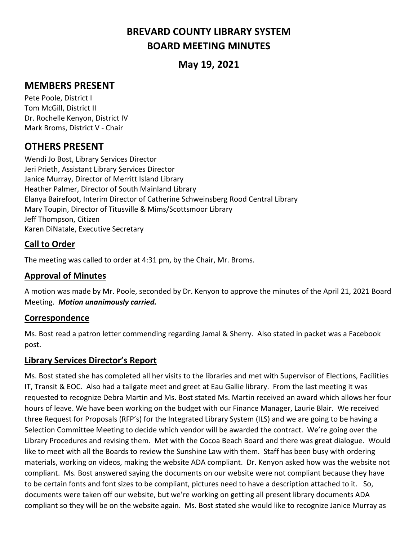# **BREVARD COUNTY LIBRARY SYSTEM BOARD MEETING MINUTES**

# **May 19, 2021**

# **MEMBERS PRESENT**

Pete Poole, District I Tom McGill, District II Dr. Rochelle Kenyon, District IV Mark Broms, District V - Chair

## **OTHERS PRESENT**

Wendi Jo Bost, Library Services Director Jeri Prieth, Assistant Library Services Director Janice Murray, Director of Merritt Island Library Heather Palmer, Director of South Mainland Library Elanya Bairefoot, Interim Director of Catherine Schweinsberg Rood Central Library Mary Toupin, Director of Titusville & Mims/Scottsmoor Library Jeff Thompson, Citizen Karen DiNatale, Executive Secretary

### **Call to Order**

The meeting was called to order at 4:31 pm, by the Chair, Mr. Broms.

### **Approval of Minutes**

A motion was made by Mr. Poole, seconded by Dr. Kenyon to approve the minutes of the April 21, 2021 Board Meeting. *Motion unanimously carried.*

### **Correspondence**

Ms. Bost read a patron letter commending regarding Jamal & Sherry. Also stated in packet was a Facebook post.

### **Library Services Director's Report**

Ms. Bost stated she has completed all her visits to the libraries and met with Supervisor of Elections, Facilities IT, Transit & EOC. Also had a tailgate meet and greet at Eau Gallie library. From the last meeting it was requested to recognize Debra Martin and Ms. Bost stated Ms. Martin received an award which allows her four hours of leave. We have been working on the budget with our Finance Manager, Laurie Blair. We received three Request for Proposals (RFP's) for the Integrated Library System (ILS) and we are going to be having a Selection Committee Meeting to decide which vendor will be awarded the contract. We're going over the Library Procedures and revising them. Met with the Cocoa Beach Board and there was great dialogue. Would like to meet with all the Boards to review the Sunshine Law with them. Staff has been busy with ordering materials, working on videos, making the website ADA compliant. Dr. Kenyon asked how was the website not compliant. Ms. Bost answered saying the documents on our website were not compliant because they have to be certain fonts and font sizes to be compliant, pictures need to have a description attached to it. So, documents were taken off our website, but we're working on getting all present library documents ADA compliant so they will be on the website again. Ms. Bost stated she would like to recognize Janice Murray as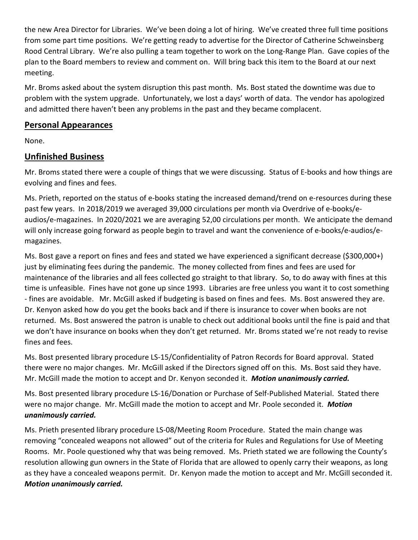the new Area Director for Libraries. We've been doing a lot of hiring. We've created three full time positions from some part time positions. We're getting ready to advertise for the Director of Catherine Schweinsberg Rood Central Library. We're also pulling a team together to work on the Long-Range Plan. Gave copies of the plan to the Board members to review and comment on. Will bring back this item to the Board at our next meeting.

Mr. Broms asked about the system disruption this past month. Ms. Bost stated the downtime was due to problem with the system upgrade. Unfortunately, we lost a days' worth of data. The vendor has apologized and admitted there haven't been any problems in the past and they became complacent.

#### **Personal Appearances**

None.

### **Unfinished Business**

Mr. Broms stated there were a couple of things that we were discussing. Status of E-books and how things are evolving and fines and fees.

Ms. Prieth, reported on the status of e-books stating the increased demand/trend on e-resources during these past few years. In 2018/2019 we averaged 39,000 circulations per month via Overdrive of e-books/eaudios/e-magazines. In 2020/2021 we are averaging 52,00 circulations per month. We anticipate the demand will only increase going forward as people begin to travel and want the convenience of e-books/e-audios/emagazines.

Ms. Bost gave a report on fines and fees and stated we have experienced a significant decrease (\$300,000+) just by eliminating fees during the pandemic. The money collected from fines and fees are used for maintenance of the libraries and all fees collected go straight to that library. So, to do away with fines at this time is unfeasible. Fines have not gone up since 1993. Libraries are free unless you want it to cost something - fines are avoidable. Mr. McGill asked if budgeting is based on fines and fees. Ms. Bost answered they are. Dr. Kenyon asked how do you get the books back and if there is insurance to cover when books are not returned. Ms. Bost answered the patron is unable to check out additional books until the fine is paid and that we don't have insurance on books when they don't get returned. Mr. Broms stated we're not ready to revise fines and fees.

Ms. Bost presented library procedure LS-15/Confidentiality of Patron Records for Board approval. Stated there were no major changes. Mr. McGill asked if the Directors signed off on this. Ms. Bost said they have. Mr. McGill made the motion to accept and Dr. Kenyon seconded it. *Motion unanimously carried.*

Ms. Bost presented library procedure LS-16/Donation or Purchase of Self-Published Material. Stated there were no major change. Mr. McGill made the motion to accept and Mr. Poole seconded it. *Motion unanimously carried.*

Ms. Prieth presented library procedure LS-08/Meeting Room Procedure. Stated the main change was removing "concealed weapons not allowed" out of the criteria for Rules and Regulations for Use of Meeting Rooms. Mr. Poole questioned why that was being removed. Ms. Prieth stated we are following the County's resolution allowing gun owners in the State of Florida that are allowed to openly carry their weapons, as long as they have a concealed weapons permit. Dr. Kenyon made the motion to accept and Mr. McGill seconded it. *Motion unanimously carried.*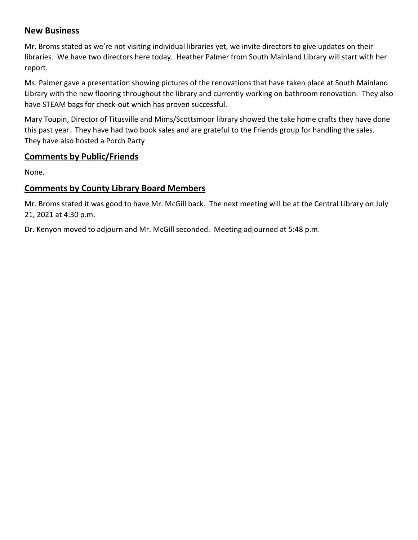#### **New Business**

Mr. Broms stated as we're not visiting individual libraries yet, we invite directors to give updates on their libraries. We have two directors here today. Heather Palmer from South Mainland Library will start with her report.

Ms. Palmer gave a presentation showing pictures of the renovations that have taken place at South Mainland Library with the new flooring throughout the library and currently working on bathroom renovation. They also have STEAM bags for check-out which has proven successful.

Mary Toupin, Director of Titusville and Mims/Scottsmoor library showed the take home crafts they have done this past year. They have had two book sales and are grateful to the Friends group for handling the sales. They have also hosted a Porch Party

#### **Comments by Public/Friends**

None.

### **Comments by County Library Board Members**

Mr. Broms stated it was good to have Mr. McGill back. The next meeting will be at the Central Library on July 21, 2021 at 4:30 p.m.

Dr. Kenyon moved to adjourn and Mr. McGill seconded. Meeting adjourned at 5:48 p.m.